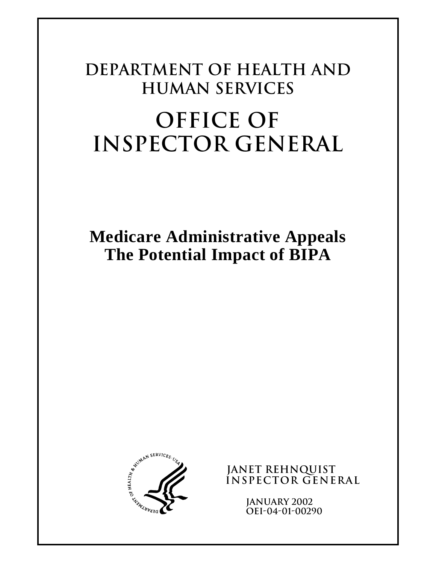# **Department of Health and Human Services OFFICE OF INSPECTOR GENERAL**

**Medicare Administrative Appeals The Potential Impact of BIPA** 



**JANET REHNQUIST Inspector General** 

> **JANUARY 2002 OEI-04-01-00290**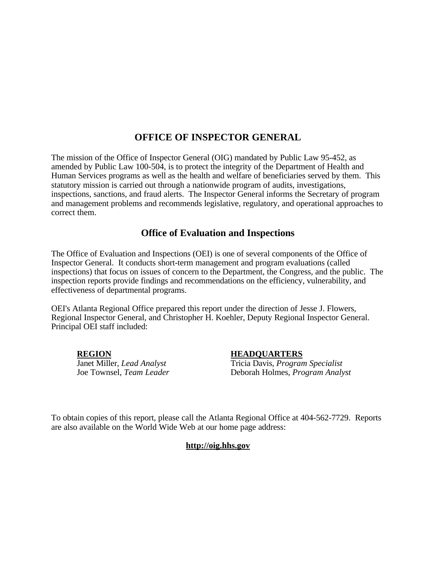# **OFFICE OF INSPECTOR GENERAL**

The mission of the Office of Inspector General (OIG) mandated by Public Law 95-452, as amended by Public Law 100-504, is to protect the integrity of the Department of Health and Human Services programs as well as the health and welfare of beneficiaries served by them. This statutory mission is carried out through a nationwide program of audits, investigations, inspections, sanctions, and fraud alerts. The Inspector General informs the Secretary of program and management problems and recommends legislative, regulatory, and operational approaches to correct them.

# **Office of Evaluation and Inspections**

The Office of Evaluation and Inspections (OEI) is one of several components of the Office of Inspector General. It conducts short-term management and program evaluations (called inspections) that focus on issues of concern to the Department, the Congress, and the public. The inspection reports provide findings and recommendations on the efficiency, vulnerability, and effectiveness of departmental programs.

OEI's Atlanta Regional Office prepared this report under the direction of Jesse J. Flowers, Regional Inspector General, and Christopher H. Koehler, Deputy Regional Inspector General. Principal OEI staff included:

**REGION HEADQUARTERS**

Janet Miller, *Lead Analyst* Tricia Davis, *Program Specialist* Deborah Holmes, *Program Analyst* 

To obtain copies of this report, please call the Atlanta Regional Office at 404-562-7729. Reports are also available on the World Wide Web at our home page address:

## **http://oig.hhs.gov**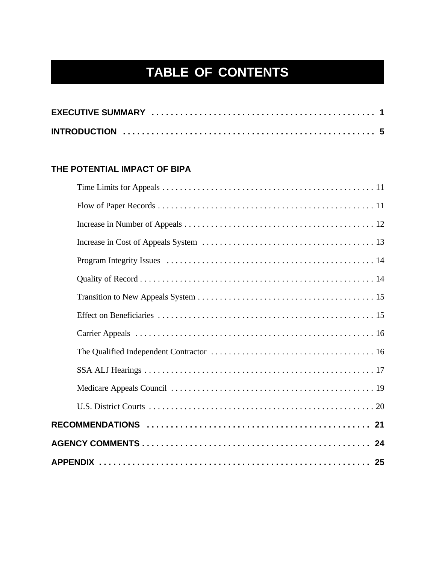# **TABLE OF CONTENTS**

# **THE POTENTIAL IMPACT OF BIPA**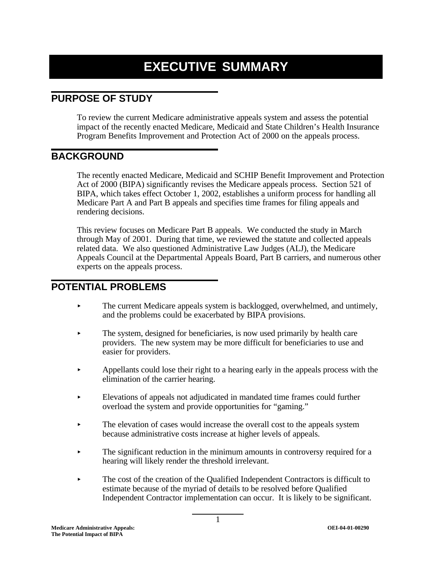# **EXECUTIVE SUMMARY**

# **PURPOSE OF STUDY**

To review the current Medicare administrative appeals system and assess the potential impact of the recently enacted Medicare, Medicaid and State Children's Health Insurance Program Benefits Improvement and Protection Act of 2000 on the appeals process.

# **BACKGROUND**

The recently enacted Medicare, Medicaid and SCHIP Benefit Improvement and Protection Act of 2000 (BIPA) significantly revises the Medicare appeals process. Section 521 of BIPA, which takes effect October 1, 2002, establishes a uniform process for handling all Medicare Part A and Part B appeals and specifies time frames for filing appeals and rendering decisions.

This review focuses on Medicare Part B appeals. We conducted the study in March through May of 2001. During that time, we reviewed the statute and collected appeals related data. We also questioned Administrative Law Judges (ALJ), the Medicare Appeals Council at the Departmental Appeals Board, Part B carriers, and numerous other experts on the appeals process.

# **POTENTIAL PROBLEMS**

- $\blacktriangleright$  The current Medicare appeals system is backlogged, overwhelmed, and untimely, and the problems could be exacerbated by BIPA provisions.
- $\blacktriangleright$  The system, designed for beneficiaries, is now used primarily by health care providers. The new system may be more difficult for beneficiaries to use and easier for providers.
- $\blacktriangleright$  Appellants could lose their right to a hearing early in the appeals process with the elimination of the carrier hearing.
- < Elevations of appeals not adjudicated in mandated time frames could further overload the system and provide opportunities for "gaming."
- $\blacktriangleright$  The elevation of cases would increase the overall cost to the appeals system because administrative costs increase at higher levels of appeals.
- $\blacktriangleright$  The significant reduction in the minimum amounts in controversy required for a hearing will likely render the threshold irrelevant.
- $\triangleright$  The cost of the creation of the Qualified Independent Contractors is difficult to estimate because of the myriad of details to be resolved before Qualified Independent Contractor implementation can occur. It is likely to be significant.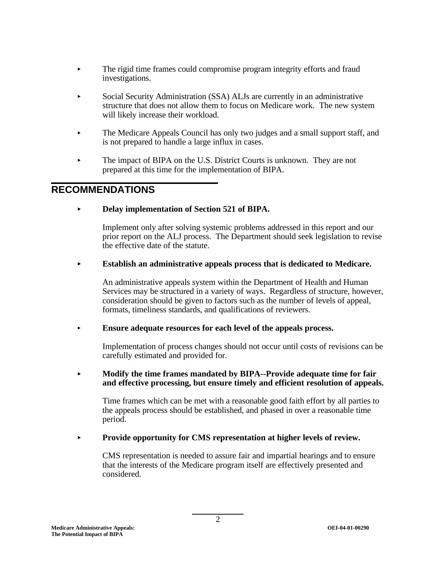- < The rigid time frames could compromise program integrity efforts and fraud investigations.
- < Social Security Administration (SSA) ALJs are currently in an administrative structure that does not allow them to focus on Medicare work. The new system will likely increase their workload.
- < The Medicare Appeals Council has only two judges and a small support staff, and is not prepared to handle a large influx in cases.
- The impact of BIPA on the U.S. District Courts is unknown. They are not prepared at this time for the implementation of BIPA.

# **RECOMMENDATIONS**

#### $\blacktriangleright$ **Delay implementation of Section 521 of BIPA.**

Implement only after solving systemic problems addressed in this report and our prior report on the ALJ process. The Department should seek legislation to revise the effective date of the statute.

#### $\blacktriangleright$ **Establish an administrative appeals process that is dedicated to Medicare.**

An administrative appeals system within the Department of Health and Human Services may be structured in a variety of ways. Regardless of structure, however, consideration should be given to factors such as the number of levels of appeal, formats, timeliness standards, and qualifications of reviewers.

## < **Ensure adequate resources for each level of the appeals process.**

Implementation of process changes should not occur until costs of revisions can be carefully estimated and provided for.

#### $\blacktriangleright$  **Modify the time frames mandated by BIPA--Provide adequate time for fair and effective processing, but ensure timely and efficient resolution of appeals.**

Time frames which can be met with a reasonable good faith effort by all parties to the appeals process should be established, and phased in over a reasonable time period.

#### $\blacktriangleright$ **Provide opportunity for CMS representation at higher levels of review.**

CMS representation is needed to assure fair and impartial hearings and to ensure that the interests of the Medicare program itself are effectively presented and considered.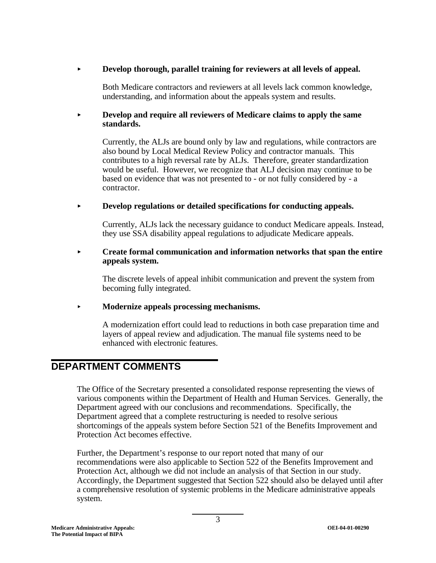#### $\blacktriangleright$ **Develop thorough, parallel training for reviewers at all levels of appeal.**

Both Medicare contractors and reviewers at all levels lack common knowledge, understanding, and information about the appeals system and results.

#### $\blacktriangleright$  **Develop and require all reviewers of Medicare claims to apply the same standards.**

Currently, the ALJs are bound only by law and regulations, while contractors are also bound by Local Medical Review Policy and contractor manuals. This contributes to a high reversal rate by ALJs. Therefore, greater standardization would be useful. However, we recognize that ALJ decision may continue to be based on evidence that was not presented to - or not fully considered by - a contractor.

#### $\blacktriangleright$ **Develop regulations or detailed specifications for conducting appeals.**

Currently, ALJs lack the necessary guidance to conduct Medicare appeals. Instead, they use SSA disability appeal regulations to adjudicate Medicare appeals.

#### $\blacktriangleright$  **Create formal communication and information networks that span the entire appeals system.**

The discrete levels of appeal inhibit communication and prevent the system from becoming fully integrated.

## < **Modernize appeals processing mechanisms.**

A modernization effort could lead to reductions in both case preparation time and layers of appeal review and adjudication. The manual file systems need to be enhanced with electronic features.

# **DEPARTMENT COMMENTS**

The Office of the Secretary presented a consolidated response representing the views of various components within the Department of Health and Human Services. Generally, the Department agreed with our conclusions and recommendations. Specifically, the Department agreed that a complete restructuring is needed to resolve serious shortcomings of the appeals system before Section 521 of the Benefits Improvement and Protection Act becomes effective.

Further, the Department's response to our report noted that many of our recommendations were also applicable to Section 522 of the Benefits Improvement and Protection Act, although we did not include an analysis of that Section in our study. Accordingly, the Department suggested that Section 522 should also be delayed until after a comprehensive resolution of systemic problems in the Medicare administrative appeals system.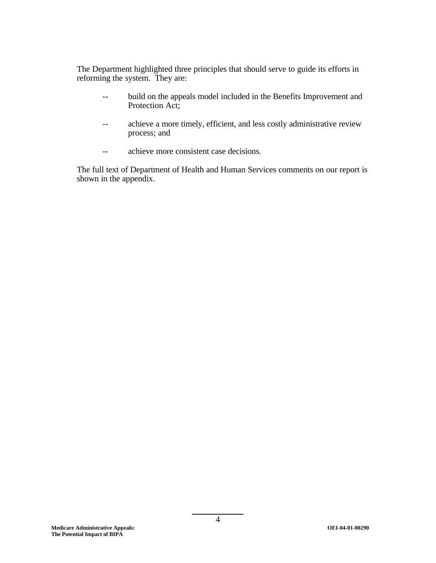The Department highlighted three principles that should serve to guide its efforts in reforming the system. They are:

- build on the appeals model included in the Benefits Improvement and Protection Act;
- achieve a more timely, efficient, and less costly administrative review process; and
- $\sim$ achieve more consistent case decisions.

The full text of Department of Health and Human Services comments on our report is shown in the appendix.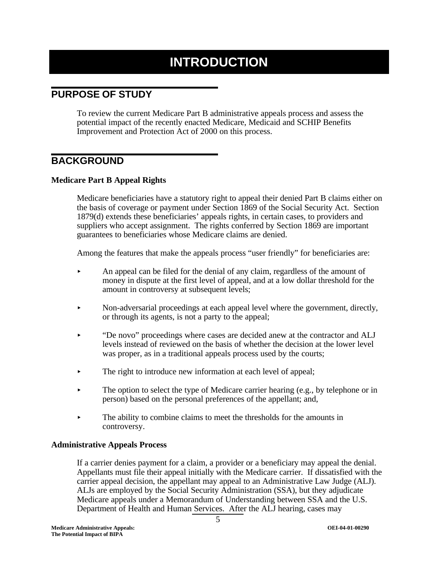# **INTRODUCTION**

# **PURPOSE OF STUDY**

To review the current Medicare Part B administrative appeals process and assess the potential impact of the recently enacted Medicare, Medicaid and SCHIP Benefits Improvement and Protection Act of 2000 on this process.

# **BACKGROUND**

# **Medicare Part B Appeal Rights**

Medicare beneficiaries have a statutory right to appeal their denied Part B claims either on the basis of coverage or payment under Section 1869 of the Social Security Act. Section 1879(d) extends these beneficiaries' appeals rights, in certain cases, to providers and suppliers who accept assignment. The rights conferred by Section 1869 are important guarantees to beneficiaries whose Medicare claims are denied.

Among the features that make the appeals process "user friendly" for beneficiaries are:

- $\blacktriangleright$  An appeal can be filed for the denial of any claim, regardless of the amount of money in dispute at the first level of appeal, and at a low dollar threshold for the amount in controversy at subsequent levels;
- < Non-adversarial proceedings at each appeal level where the government, directly, or through its agents, is not a party to the appeal;
- < "De novo" proceedings where cases are decided anew at the contractor and ALJ levels instead of reviewed on the basis of whether the decision at the lower level was proper, as in a traditional appeals process used by the courts;
- The right to introduce new information at each level of appeal;
- The option to select the type of Medicare carrier hearing (e.g., by telephone or in person) based on the personal preferences of the appellant; and,
- The ability to combine claims to meet the thresholds for the amounts in controversy.

## **Administrative Appeals Process**

If a carrier denies payment for a claim, a provider or a beneficiary may appeal the denial. Appellants must file their appeal initially with the Medicare carrier. If dissatisfied with the carrier appeal decision, the appellant may appeal to an Administrative Law Judge (ALJ). ALJs are employed by the Social Security Administration (SSA), but they adjudicate Medicare appeals under a Memorandum of Understanding between SSA and the U.S. Department of Health and Human Services. After the ALJ hearing, cases may

5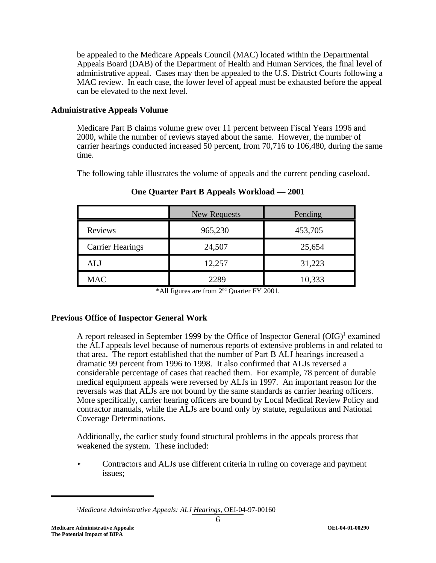be appealed to the Medicare Appeals Council (MAC) located within the Departmental Appeals Board (DAB) of the Department of Health and Human Services, the final level of administrative appeal. Cases may then be appealed to the U.S. District Courts following a MAC review. In each case, the lower level of appeal must be exhausted before the appeal can be elevated to the next level.

## **Administrative Appeals Volume**

Medicare Part B claims volume grew over 11 percent between Fiscal Years 1996 and 2000, while the number of reviews stayed about the same. However, the number of carrier hearings conducted increased 50 percent, from 70,716 to 106,480, during the same time.

The following table illustrates the volume of appeals and the current pending caseload.

|                         | New Requests | Pending |
|-------------------------|--------------|---------|
| <b>Reviews</b>          | 965,230      | 453,705 |
| <b>Carrier Hearings</b> | 24,507       | 25,654  |
| ALJ                     | 12,257       | 31,223  |
| <b>MAC</b>              | 2289         | 10,333  |

**One Quarter Part B Appeals Workload — 2001** 

\*All figures are from 2nd Quarter FY 2001.

# **Previous Office of Inspector General Work**

A report released in September 1999 by the Office of Inspector General  $(OIG)^1$  examined the ALJ appeals level because of numerous reports of extensive problems in and related to that area. The report established that the number of Part B ALJ hearings increased a dramatic 99 percent from 1996 to 1998. It also confirmed that ALJs reversed a considerable percentage of cases that reached them. For example, 78 percent of durable medical equipment appeals were reversed by ALJs in 1997. An important reason for the reversals was that ALJs are not bound by the same standards as carrier hearing officers. More specifically, carrier hearing officers are bound by Local Medical Review Policy and contractor manuals, while the ALJs are bound only by statute, regulations and National Coverage Determinations.

Additionally, the earlier study found structural problems in the appeals process that weakened the system. These included:

< Contractors and ALJs use different criteria in ruling on coverage and payment issues;

6

<sup>1</sup> *Medicare Administrative Appeals: ALJ Hearings,* OEI-04-97-00160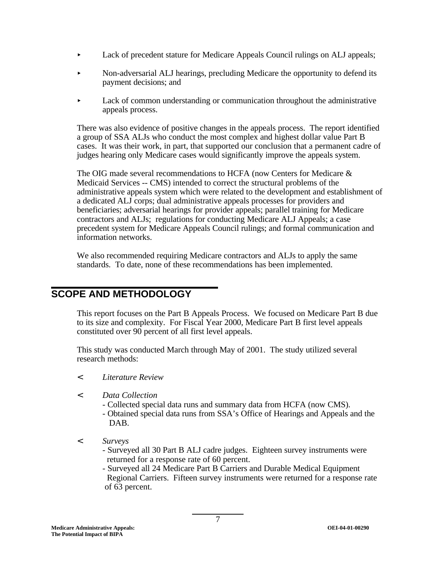- Lack of precedent stature for Medicare Appeals Council rulings on ALJ appeals;
- < Non-adversarial ALJ hearings, precluding Medicare the opportunity to defend its payment decisions; and
- < Lack of common understanding or communication throughout the administrative appeals process.

There was also evidence of positive changes in the appeals process. The report identified a group of SSA ALJs who conduct the most complex and highest dollar value Part B cases. It was their work, in part, that supported our conclusion that a permanent cadre of judges hearing only Medicare cases would significantly improve the appeals system.

The OIG made several recommendations to HCFA (now Centers for Medicare & Medicaid Services -- CMS) intended to correct the structural problems of the administrative appeals system which were related to the development and establishment of a dedicated ALJ corps; dual administrative appeals processes for providers and beneficiaries; adversarial hearings for provider appeals; parallel training for Medicare contractors and ALJs; regulations for conducting Medicare ALJ Appeals; a case precedent system for Medicare Appeals Council rulings; and formal communication and information networks.

We also recommended requiring Medicare contractors and ALJs to apply the same standards. To date, none of these recommendations has been implemented.

# **SCOPE AND METHODOLOGY**

This report focuses on the Part B Appeals Process. We focused on Medicare Part B due to its size and complexity. For Fiscal Year 2000, Medicare Part B first level appeals constituted over 90 percent of all first level appeals.

This study was conducted March through May of 2001. The study utilized several research methods:

- *< Literature Review*
- *< Data Collection* 
	- Collected special data runs and summary data from HCFA (now CMS).
	- Obtained special data runs from SSA's Office of Hearings and Appeals and the DAB.
- *< Surveys* 
	- Surveyed all 30 Part B ALJ cadre judges. Eighteen survey instruments were returned for a response rate of 60 percent.
	- Surveyed all 24 Medicare Part B Carriers and Durable Medical Equipment Regional Carriers. Fifteen survey instruments were returned for a response rate of 63 percent.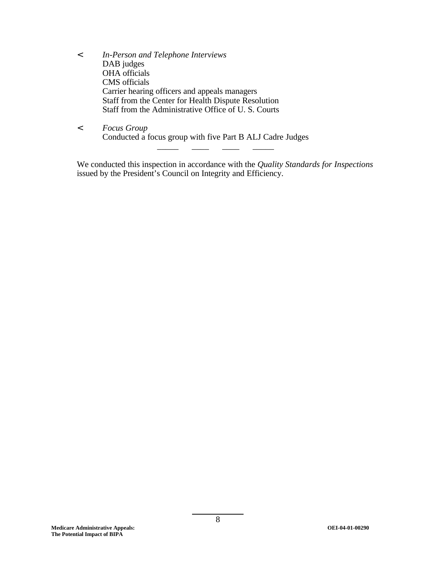- *< In-Person and Telephone Interviews*  DAB judges OHA officials CMS officials Carrier hearing officers and appeals managers Staff from the Center for Health Dispute Resolution Staff from the Administrative Office of U. S. Courts
- *< Focus Group*  Conducted a focus group with five Part B ALJ Cadre Judges \_\_\_\_\_ \_\_\_\_ \_\_\_\_ \_\_\_\_\_

We conducted this inspection in accordance with the *Quality Standards for Inspections*  issued by the President's Council on Integrity and Efficiency.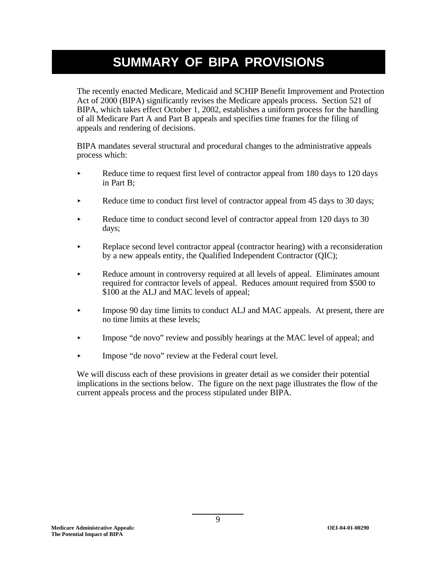# **SUMMARY OF BIPA PROVISIONS**

The recently enacted Medicare, Medicaid and SCHIP Benefit Improvement and Protection Act of 2000 (BIPA) significantly revises the Medicare appeals process. Section 521 of BIPA, which takes effect October 1, 2002, establishes a uniform process for the handling of all Medicare Part A and Part B appeals and specifies time frames for the filing of appeals and rendering of decisions.

BIPA mandates several structural and procedural changes to the administrative appeals process which:

- Reduce time to request first level of contractor appeal from 180 days to 120 days in Part B;
- Reduce time to conduct first level of contractor appeal from 45 days to 30 days;
- Reduce time to conduct second level of contractor appeal from 120 days to 30 days;
- Replace second level contractor appeal (contractor hearing) with a reconsideration by a new appeals entity, the Qualified Independent Contractor (QIC);
- < Reduce amount in controversy required at all levels of appeal. Eliminates amount required for contractor levels of appeal. Reduces amount required from \$500 to \$100 at the ALJ and MAC levels of appeal;
- < Impose 90 day time limits to conduct ALJ and MAC appeals. At present, there are no time limits at these levels;
- < Impose "de novo" review and possibly hearings at the MAC level of appeal; and
- < Impose "de novo" review at the Federal court level.

We will discuss each of these provisions in greater detail as we consider their potential implications in the sections below. The figure on the next page illustrates the flow of the current appeals process and the process stipulated under BIPA.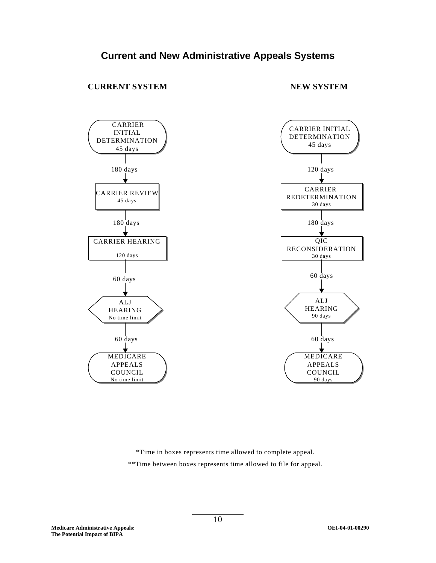# **CURRENT SYSTEM NEW SYSTEM**



\*Time in boxes represents time allowed to complete appeal. \*\*Time between boxes represents time allowed to file for appeal.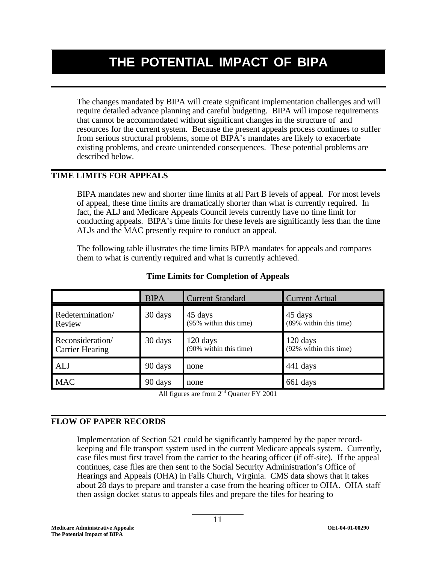# **THE POTENTIAL IMPACT OF BIPA**

The changes mandated by BIPA will create significant implementation challenges and will require detailed advance planning and careful budgeting. BIPA will impose requirements that cannot be accommodated without significant changes in the structure of and resources for the current system. Because the present appeals process continues to suffer from serious structural problems, some of BIPA's mandates are likely to exacerbate existing problems, and create unintended consequences. These potential problems are described below.

# **TIME LIMITS FOR APPEALS**

BIPA mandates new and shorter time limits at all Part B levels of appeal. For most levels of appeal, these time limits are dramatically shorter than what is currently required. In fact, the ALJ and Medicare Appeals Council levels currently have no time limit for conducting appeals. BIPA's time limits for these levels are significantly less than the time ALJs and the MAC presently require to conduct an appeal.

The following table illustrates the time limits BIPA mandates for appeals and compares them to what is currently required and what is currently achieved.

|                                            | <b>BIPA</b> | Current Standard                   | <b>Current Actual</b>              |
|--------------------------------------------|-------------|------------------------------------|------------------------------------|
| Redetermination/<br>Review                 | 30 days     | 45 days<br>(95% within this time)  | 45 days<br>(89% within this time)  |
| Reconsideration/<br><b>Carrier Hearing</b> | 30 days     | 120 days<br>(90% within this time) | 120 days<br>(92% within this time) |
| <b>ALJ</b>                                 | 90 days     | none                               | 441 days                           |
| <b>MAC</b>                                 | 90 days     | none                               | 661 days                           |

## **Time Limits for Completion of Appeals**

All figures are from  $2<sup>nd</sup>$  Quarter FY 2001

## **FLOW OF PAPER RECORDS**

Implementation of Section 521 could be significantly hampered by the paper recordkeeping and file transport system used in the current Medicare appeals system. Currently, case files must first travel from the carrier to the hearing officer (if off-site). If the appeal continues, case files are then sent to the Social Security Administration's Office of Hearings and Appeals (OHA) in Falls Church, Virginia. CMS data shows that it takes about 28 days to prepare and transfer a case from the hearing officer to OHA. OHA staff then assign docket status to appeals files and prepare the files for hearing to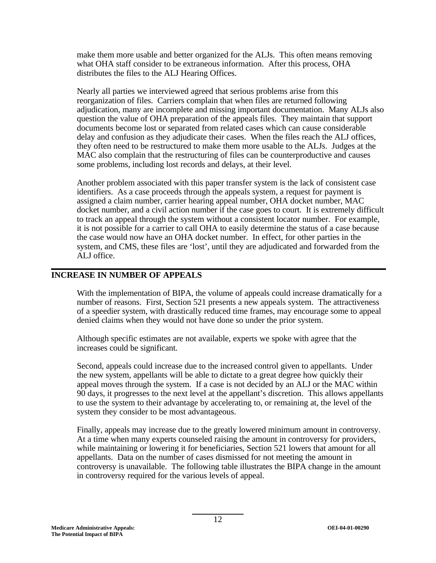make them more usable and better organized for the ALJs. This often means removing what OHA staff consider to be extraneous information. After this process, OHA distributes the files to the ALJ Hearing Offices.

Nearly all parties we interviewed agreed that serious problems arise from this reorganization of files. Carriers complain that when files are returned following adjudication, many are incomplete and missing important documentation. Many ALJs also question the value of OHA preparation of the appeals files. They maintain that support documents become lost or separated from related cases which can cause considerable delay and confusion as they adjudicate their cases. When the files reach the ALJ offices, they often need to be restructured to make them more usable to the ALJs. Judges at the MAC also complain that the restructuring of files can be counterproductive and causes some problems, including lost records and delays, at their level.

Another problem associated with this paper transfer system is the lack of consistent case identifiers. As a case proceeds through the appeals system, a request for payment is assigned a claim number, carrier hearing appeal number, OHA docket number, MAC docket number, and a civil action number if the case goes to court. It is extremely difficult to track an appeal through the system without a consistent locator number. For example, it is not possible for a carrier to call OHA to easily determine the status of a case because the case would now have an OHA docket number. In effect, for other parties in the system, and CMS, these files are 'lost', until they are adjudicated and forwarded from the ALJ office.

## **INCREASE IN NUMBER OF APPEALS**

With the implementation of BIPA, the volume of appeals could increase dramatically for a number of reasons. First, Section 521 presents a new appeals system. The attractiveness of a speedier system, with drastically reduced time frames, may encourage some to appeal denied claims when they would not have done so under the prior system.

Although specific estimates are not available, experts we spoke with agree that the increases could be significant.

Second, appeals could increase due to the increased control given to appellants. Under the new system, appellants will be able to dictate to a great degree how quickly their appeal moves through the system. If a case is not decided by an ALJ or the MAC within 90 days, it progresses to the next level at the appellant's discretion. This allows appellants to use the system to their advantage by accelerating to, or remaining at, the level of the system they consider to be most advantageous.

Finally, appeals may increase due to the greatly lowered minimum amount in controversy. At a time when many experts counseled raising the amount in controversy for providers, while maintaining or lowering it for beneficiaries, Section 521 lowers that amount for all appellants. Data on the number of cases dismissed for not meeting the amount in controversy is unavailable. The following table illustrates the BIPA change in the amount in controversy required for the various levels of appeal.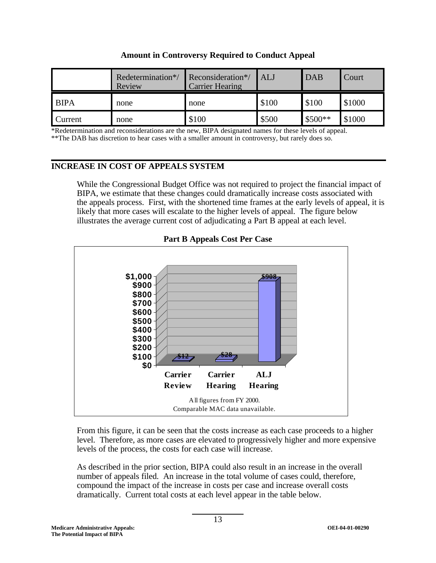|             | Redetermination*/<br>Review | Reconsideration*/<br><b>Carrier Hearing</b> | ALJ   | <b>DAB</b> | Court  |
|-------------|-----------------------------|---------------------------------------------|-------|------------|--------|
| <b>BIPA</b> | none                        | none                                        | \$100 | \$100      | \$1000 |
| Current     | none                        | \$100                                       | \$500 | $$500**$   | \$1000 |

# **Amount in Controversy Required to Conduct Appeal**

\*Redetermination and reconsiderations are the new, BIPA designated names for these levels of appeal. \*\*The DAB has discretion to hear cases with a smaller amount in controversy, but rarely does so.

# **INCREASE IN COST OF APPEALS SYSTEM**

While the Congressional Budget Office was not required to project the financial impact of BIPA, we estimate that these changes could dramatically increase costs associated with the appeals process. First, with the shortened time frames at the early levels of appeal, it is likely that more cases will escalate to the higher levels of appeal. The figure below illustrates the average current cost of adjudicating a Part B appeal at each level.



**Part B Appeals Cost Per Case** 

From this figure, it can be seen that the costs increase as each case proceeds to a higher level. Therefore, as more cases are elevated to progressively higher and more expensive levels of the process, the costs for each case will increase.

As described in the prior section, BIPA could also result in an increase in the overall number of appeals filed. An increase in the total volume of cases could, therefore, compound the impact of the increase in costs per case and increase overall costs dramatically. Current total costs at each level appear in the table below.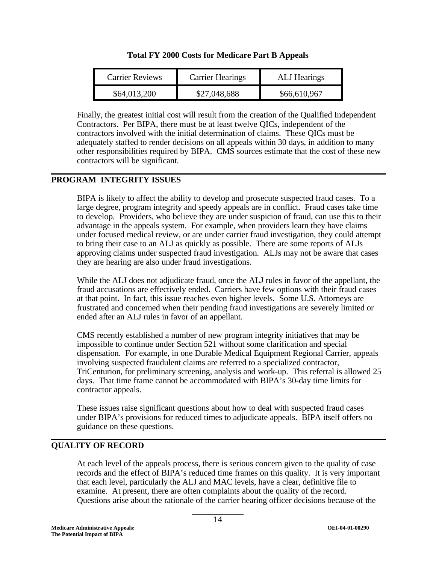| <b>Carrier Reviews</b> | <b>Carrier Hearings</b> | <b>ALJ</b> Hearings |
|------------------------|-------------------------|---------------------|
| \$64,013,200           | \$27,048,688            | \$66,610,967        |

Finally, the greatest initial cost will result from the creation of the Qualified Independent Contractors. Per BIPA, there must be at least twelve QICs, independent of the contractors involved with the initial determination of claims. These QICs must be adequately staffed to render decisions on all appeals within 30 days, in addition to many other responsibilities required by BIPA. CMS sources estimate that the cost of these new contractors will be significant.

# **PROGRAM INTEGRITY ISSUES**

BIPA is likely to affect the ability to develop and prosecute suspected fraud cases. To a large degree, program integrity and speedy appeals are in conflict. Fraud cases take time to develop. Providers, who believe they are under suspicion of fraud, can use this to their advantage in the appeals system. For example, when providers learn they have claims under focused medical review, or are under carrier fraud investigation, they could attempt to bring their case to an ALJ as quickly as possible. There are some reports of ALJs approving claims under suspected fraud investigation. ALJs may not be aware that cases they are hearing are also under fraud investigations.

While the ALJ does not adjudicate fraud, once the ALJ rules in favor of the appellant, the fraud accusations are effectively ended. Carriers have few options with their fraud cases at that point. In fact, this issue reaches even higher levels. Some U.S. Attorneys are frustrated and concerned when their pending fraud investigations are severely limited or ended after an ALJ rules in favor of an appellant.

CMS recently established a number of new program integrity initiatives that may be impossible to continue under Section 521 without some clarification and special dispensation. For example, in one Durable Medical Equipment Regional Carrier, appeals involving suspected fraudulent claims are referred to a specialized contractor, TriCenturion, for preliminary screening, analysis and work-up. This referral is allowed 25 days. That time frame cannot be accommodated with BIPA's 30-day time limits for contractor appeals.

These issues raise significant questions about how to deal with suspected fraud cases under BIPA's provisions for reduced times to adjudicate appeals. BIPA itself offers no guidance on these questions.

# **QUALITY OF RECORD**

At each level of the appeals process, there is serious concern given to the quality of case records and the effect of BIPA's reduced time frames on this quality. It is very important that each level, particularly the ALJ and MAC levels, have a clear, definitive file to examine. At present, there are often complaints about the quality of the record. Questions arise about the rationale of the carrier hearing officer decisions because of the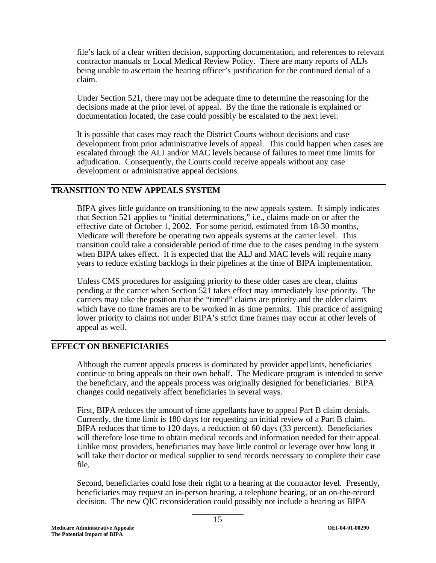file's lack of a clear written decision, supporting documentation, and references to relevant contractor manuals or Local Medical Review Policy. There are many reports of ALJs being unable to ascertain the hearing officer's justification for the continued denial of a claim.

Under Section 521, there may not be adequate time to determine the reasoning for the decisions made at the prior level of appeal. By the time the rationale is explained or documentation located, the case could possibly be escalated to the next level.

It is possible that cases may reach the District Courts without decisions and case development from prior administrative levels of appeal. This could happen when cases are escalated through the ALJ and/or MAC levels because of failures to meet time limits for adjudication. Consequently, the Courts could receive appeals without any case development or administrative appeal decisions.

## **TRANSITION TO NEW APPEALS SYSTEM**

BIPA gives little guidance on transitioning to the new appeals system. It simply indicates that Section 521 applies to "initial determinations," i.e., claims made on or after the effective date of October 1, 2002. For some period, estimated from 18-30 months, Medicare will therefore be operating two appeals systems at the carrier level. This transition could take a considerable period of time due to the cases pending in the system when BIPA takes effect. It is expected that the ALJ and MAC levels will require many years to reduce existing backlogs in their pipelines at the time of BIPA implementation.

Unless CMS procedures for assigning priority to these older cases are clear, claims pending at the carrier when Section 521 takes effect may immediately lose priority. The carriers may take the position that the "timed" claims are priority and the older claims which have no time frames are to be worked in as time permits. This practice of assigning lower priority to claims not under BIPA's strict time frames may occur at other levels of appeal as well.

# **EFFECT ON BENEFICIARIES**

Although the current appeals process is dominated by provider appellants, beneficiaries continue to bring appeals on their own behalf. The Medicare program is intended to serve the beneficiary, and the appeals process was originally designed for beneficiaries. BIPA changes could negatively affect beneficiaries in several ways.

First, BIPA reduces the amount of time appellants have to appeal Part B claim denials. Currently, the time limit is 180 days for requesting an initial review of a Part B claim. BIPA reduces that time to 120 days, a reduction of 60 days (33 percent). Beneficiaries will therefore lose time to obtain medical records and information needed for their appeal. Unlike most providers, beneficiaries may have little control or leverage over how long it will take their doctor or medical supplier to send records necessary to complete their case file.

Second, beneficiaries could lose their right to a hearing at the contractor level. Presently, beneficiaries may request an in-person hearing, a telephone hearing, or an on-the-record decision. The new QIC reconsideration could possibly not include a hearing as BIPA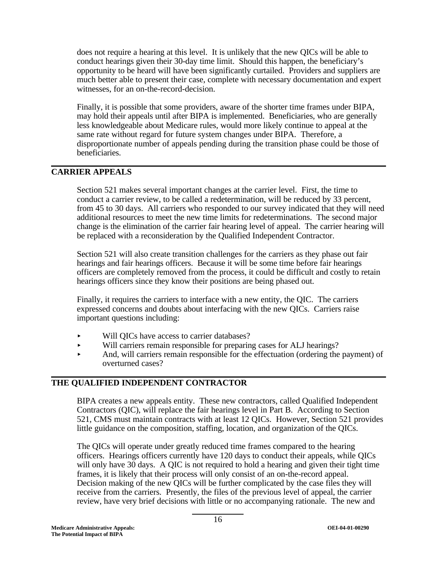does not require a hearing at this level. It is unlikely that the new QICs will be able to conduct hearings given their 30-day time limit. Should this happen, the beneficiary's opportunity to be heard will have been significantly curtailed. Providers and suppliers are much better able to present their case, complete with necessary documentation and expert witnesses, for an on-the-record-decision.

Finally, it is possible that some providers, aware of the shorter time frames under BIPA, may hold their appeals until after BIPA is implemented. Beneficiaries, who are generally less knowledgeable about Medicare rules, would more likely continue to appeal at the same rate without regard for future system changes under BIPA. Therefore, a disproportionate number of appeals pending during the transition phase could be those of beneficiaries.

## **CARRIER APPEALS**

Section 521 makes several important changes at the carrier level. First, the time to conduct a carrier review, to be called a redetermination, will be reduced by 33 percent, from 45 to 30 days. All carriers who responded to our survey indicated that they will need additional resources to meet the new time limits for redeterminations. The second major change is the elimination of the carrier fair hearing level of appeal. The carrier hearing will be replaced with a reconsideration by the Qualified Independent Contractor.

Section 521 will also create transition challenges for the carriers as they phase out fair hearings and fair hearings officers. Because it will be some time before fair hearings officers are completely removed from the process, it could be difficult and costly to retain hearings officers since they know their positions are being phased out.

Finally, it requires the carriers to interface with a new entity, the QIC. The carriers expressed concerns and doubts about interfacing with the new QICs. Carriers raise important questions including:

- < Will QICs have access to carrier databases?
- < Will carriers remain responsible for preparing cases for ALJ hearings?
- < And, will carriers remain responsible for the effectuation (ordering the payment) of overturned cases?

## **THE QUALIFIED INDEPENDENT CONTRACTOR**

BIPA creates a new appeals entity. These new contractors, called Qualified Independent Contractors (QIC), will replace the fair hearings level in Part B. According to Section 521, CMS must maintain contracts with at least 12 QICs. However, Section 521 provides little guidance on the composition, staffing, location, and organization of the QICs.

The QICs will operate under greatly reduced time frames compared to the hearing officers. Hearings officers currently have 120 days to conduct their appeals, while QICs will only have 30 days. A QIC is not required to hold a hearing and given their tight time frames, it is likely that their process will only consist of an on-the-record appeal. Decision making of the new QICs will be further complicated by the case files they will receive from the carriers. Presently, the files of the previous level of appeal, the carrier review, have very brief decisions with little or no accompanying rationale. The new and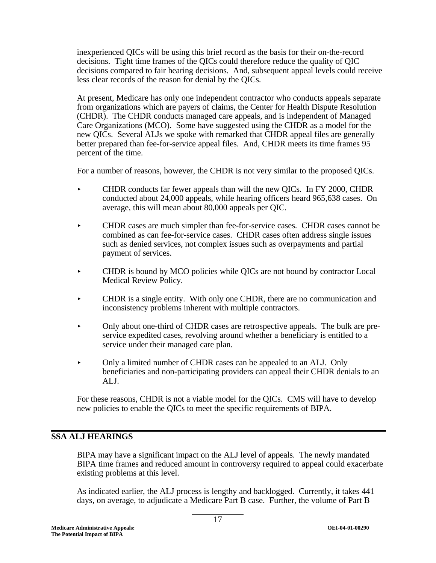inexperienced QICs will be using this brief record as the basis for their on-the-record decisions. Tight time frames of the QICs could therefore reduce the quality of QIC decisions compared to fair hearing decisions. And, subsequent appeal levels could receive less clear records of the reason for denial by the QICs.

At present, Medicare has only one independent contractor who conducts appeals separate from organizations which are payers of claims, the Center for Health Dispute Resolution (CHDR). The CHDR conducts managed care appeals, and is independent of Managed Care Organizations (MCO). Some have suggested using the CHDR as a model for the new QICs. Several ALJs we spoke with remarked that CHDR appeal files are generally better prepared than fee-for-service appeal files. And, CHDR meets its time frames 95 percent of the time.

For a number of reasons, however, the CHDR is not very similar to the proposed QICs.

- < CHDR conducts far fewer appeals than will the new QICs. In FY 2000, CHDR conducted about 24,000 appeals, while hearing officers heard 965,638 cases. On average, this will mean about 80,000 appeals per QIC.
- < CHDR cases are much simpler than fee-for-service cases. CHDR cases cannot be combined as can fee-for-service cases. CHDR cases often address single issues such as denied services, not complex issues such as overpayments and partial payment of services.
- < CHDR is bound by MCO policies while QICs are not bound by contractor Local Medical Review Policy.
- < CHDR is a single entity. With only one CHDR, there are no communication and inconsistency problems inherent with multiple contractors.
- < Only about one-third of CHDR cases are retrospective appeals. The bulk are preservice expedited cases, revolving around whether a beneficiary is entitled to a service under their managed care plan.
- Only a limited number of CHDR cases can be appealed to an ALJ. Only beneficiaries and non-participating providers can appeal their CHDR denials to an ALJ.

For these reasons, CHDR is not a viable model for the QICs. CMS will have to develop new policies to enable the QICs to meet the specific requirements of BIPA.

## **SSA ALJ HEARINGS**

BIPA may have a significant impact on the ALJ level of appeals. The newly mandated BIPA time frames and reduced amount in controversy required to appeal could exacerbate existing problems at this level.

As indicated earlier, the ALJ process is lengthy and backlogged. Currently, it takes 441 days, on average, to adjudicate a Medicare Part B case. Further, the volume of Part B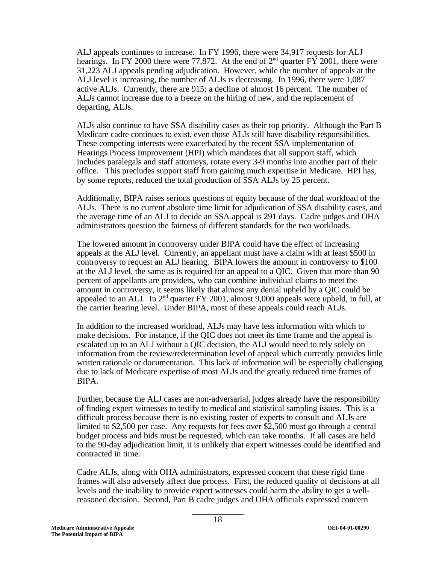ALJ appeals continues to increase. In FY 1996, there were 34,917 requests for ALJ hearings. In FY 2000 there were 77,872. At the end of  $2<sup>nd</sup>$  quarter FY 2001, there were 31,223 ALJ appeals pending adjudication. However, while the number of appeals at the ALJ level is increasing, the number of ALJs is decreasing. In 1996, there were 1,087 active ALJs. Currently, there are 915; a decline of almost 16 percent. The number of ALJs cannot increase due to a freeze on the hiring of new, and the replacement of departing, ALJs.

ALJs also continue to have SSA disability cases as their top priority. Although the Part B Medicare cadre continues to exist, even those ALJs still have disability responsibilities. These competing interests were exacerbated by the recent SSA implementation of Hearings Process Improvement (HPI) which mandates that all support staff, which includes paralegals and staff attorneys, rotate every 3-9 months into another part of their office. This precludes support staff from gaining much expertise in Medicare. HPI has, by some reports, reduced the total production of SSA ALJs by 25 percent.

Additionally, BIPA raises serious questions of equity because of the dual workload of the ALJs. There is no current absolute time limit for adjudication of SSA disability cases, and the average time of an ALJ to decide an SSA appeal is 291 days. Cadre judges and OHA administrators question the fairness of different standards for the two workloads.

The lowered amount in controversy under BIPA could have the effect of increasing appeals at the ALJ level. Currently, an appellant must have a claim with at least \$500 in controversy to request an ALJ hearing. BIPA lowers the amount in controversy to \$100 at the ALJ level, the same as is required for an appeal to a QIC. Given that more than 90 percent of appellants are providers, who can combine individual claims to meet the amount in controversy, it seems likely that almost any denial upheld by a QIC could be appealed to an ALJ. In  $2<sup>nd</sup>$  quarter FY 2001, almost 9,000 appeals were upheld, in full, at the carrier hearing level. Under BIPA, most of these appeals could reach ALJs.

In addition to the increased workload, ALJs may have less information with which to make decisions. For instance, if the QIC does not meet its time frame and the appeal is escalated up to an ALJ without a QIC decision, the ALJ would need to rely solely on information from the review/redetermination level of appeal which currently provides little written rationale or documentation. This lack of information will be especially challenging due to lack of Medicare expertise of most ALJs and the greatly reduced time frames of BIPA.

Further, because the ALJ cases are non-adversarial, judges already have the responsibility of finding expert witnesses to testify to medical and statistical sampling issues. This is a difficult process because there is no existing roster of experts to consult and ALJs are limited to \$2,500 per case. Any requests for fees over \$2,500 must go through a central budget process and bids must be requested, which can take months. If all cases are held to the 90-day adjudication limit, it is unlikely that expert witnesses could be identified and contracted in time.

Cadre ALJs, along with OHA administrators, expressed concern that these rigid time frames will also adversely affect due process. First, the reduced quality of decisions at all levels and the inability to provide expert witnesses could harm the ability to get a wellreasoned decision. Second, Part B cadre judges and OHA officials expressed concern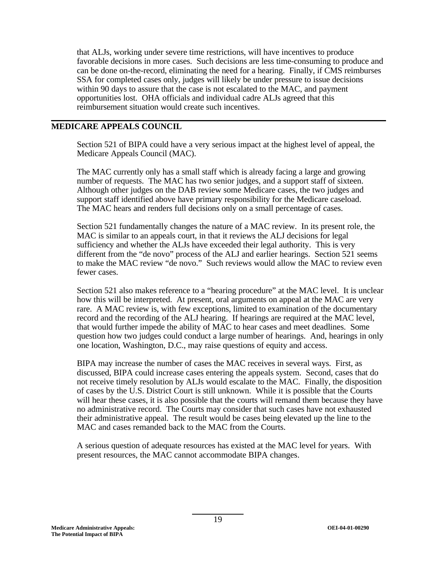that ALJs, working under severe time restrictions, will have incentives to produce favorable decisions in more cases. Such decisions are less time-consuming to produce and can be done on-the-record, eliminating the need for a hearing. Finally, if CMS reimburses SSA for completed cases only, judges will likely be under pressure to issue decisions within 90 days to assure that the case is not escalated to the MAC, and payment opportunities lost. OHA officials and individual cadre ALJs agreed that this reimbursement situation would create such incentives.

## **MEDICARE APPEALS COUNCIL**

Section 521 of BIPA could have a very serious impact at the highest level of appeal, the Medicare Appeals Council (MAC).

The MAC currently only has a small staff which is already facing a large and growing number of requests. The MAC has two senior judges, and a support staff of sixteen. Although other judges on the DAB review some Medicare cases, the two judges and support staff identified above have primary responsibility for the Medicare caseload. The MAC hears and renders full decisions only on a small percentage of cases.

Section 521 fundamentally changes the nature of a MAC review. In its present role, the MAC is similar to an appeals court, in that it reviews the ALJ decisions for legal sufficiency and whether the ALJs have exceeded their legal authority. This is very different from the "de novo" process of the ALJ and earlier hearings. Section 521 seems to make the MAC review "de novo." Such reviews would allow the MAC to review even fewer cases.

Section 521 also makes reference to a "hearing procedure" at the MAC level. It is unclear how this will be interpreted. At present, oral arguments on appeal at the MAC are very rare. A MAC review is, with few exceptions, limited to examination of the documentary record and the recording of the ALJ hearing. If hearings are required at the MAC level, that would further impede the ability of MAC to hear cases and meet deadlines. Some question how two judges could conduct a large number of hearings. And, hearings in only one location, Washington, D.C., may raise questions of equity and access.

BIPA may increase the number of cases the MAC receives in several ways. First, as discussed, BIPA could increase cases entering the appeals system. Second, cases that do not receive timely resolution by ALJs would escalate to the MAC. Finally, the disposition of cases by the U.S. District Court is still unknown. While it is possible that the Courts will hear these cases, it is also possible that the courts will remand them because they have no administrative record. The Courts may consider that such cases have not exhausted their administrative appeal. The result would be cases being elevated up the line to the MAC and cases remanded back to the MAC from the Courts.

A serious question of adequate resources has existed at the MAC level for years. With present resources, the MAC cannot accommodate BIPA changes.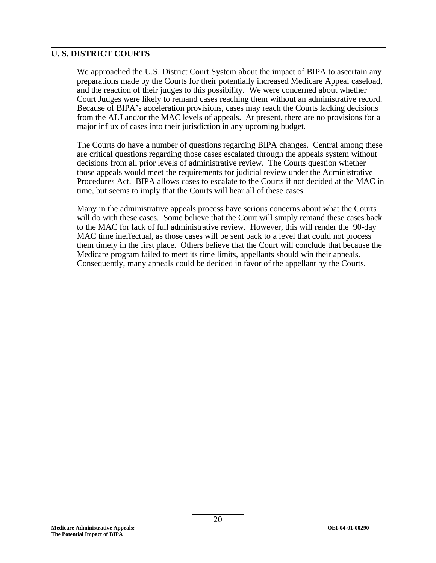## **U. S. DISTRICT COURTS**

We approached the U.S. District Court System about the impact of BIPA to ascertain any preparations made by the Courts for their potentially increased Medicare Appeal caseload, and the reaction of their judges to this possibility. We were concerned about whether Court Judges were likely to remand cases reaching them without an administrative record. Because of BIPA's acceleration provisions, cases may reach the Courts lacking decisions from the ALJ and/or the MAC levels of appeals. At present, there are no provisions for a major influx of cases into their jurisdiction in any upcoming budget.

The Courts do have a number of questions regarding BIPA changes. Central among these are critical questions regarding those cases escalated through the appeals system without decisions from all prior levels of administrative review. The Courts question whether those appeals would meet the requirements for judicial review under the Administrative Procedures Act. BIPA allows cases to escalate to the Courts if not decided at the MAC in time, but seems to imply that the Courts will hear all of these cases.

Many in the administrative appeals process have serious concerns about what the Courts will do with these cases. Some believe that the Court will simply remand these cases back to the MAC for lack of full administrative review. However, this will render the 90-day MAC time ineffectual, as those cases will be sent back to a level that could not process them timely in the first place. Others believe that the Court will conclude that because the Medicare program failed to meet its time limits, appellants should win their appeals. Consequently, many appeals could be decided in favor of the appellant by the Courts.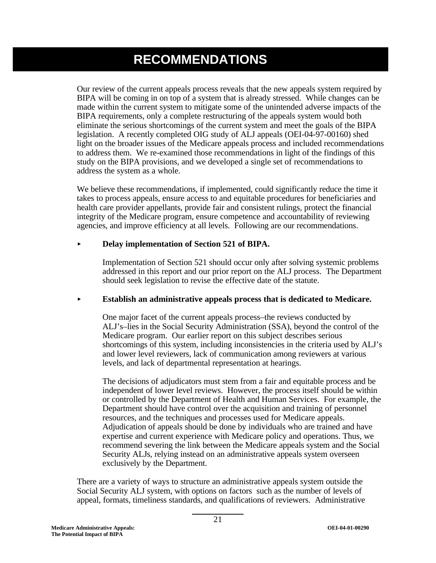# **RECOMMENDATIONS**

Our review of the current appeals process reveals that the new appeals system required by BIPA will be coming in on top of a system that is already stressed. While changes can be made within the current system to mitigate some of the unintended adverse impacts of the BIPA requirements, only a complete restructuring of the appeals system would both eliminate the serious shortcomings of the current system and meet the goals of the BIPA legislation. A recently completed OIG study of ALJ appeals (OEI-04-97-00160) shed light on the broader issues of the Medicare appeals process and included recommendations to address them. We re-examined those recommendations in light of the findings of this study on the BIPA provisions, and we developed a single set of recommendations to address the system as a whole.

We believe these recommendations, if implemented, could significantly reduce the time it takes to process appeals, ensure access to and equitable procedures for beneficiaries and health care provider appellants, provide fair and consistent rulings, protect the financial integrity of the Medicare program, ensure competence and accountability of reviewing agencies, and improve efficiency at all levels. Following are our recommendations.

#### $\blacktriangleright$ **Delay implementation of Section 521 of BIPA.**

Implementation of Section 521 should occur only after solving systemic problems addressed in this report and our prior report on the ALJ process. The Department should seek legislation to revise the effective date of the statute.

#### $\blacktriangleright$ **Establish an administrative appeals process that is dedicated to Medicare.**

One major facet of the current appeals process–the reviews conducted by ALJ's–lies in the Social Security Administration (SSA), beyond the control of the Medicare program. Our earlier report on this subject describes serious shortcomings of this system, including inconsistencies in the criteria used by ALJ's and lower level reviewers, lack of communication among reviewers at various levels, and lack of departmental representation at hearings.

The decisions of adjudicators must stem from a fair and equitable process and be independent of lower level reviews. However, the process itself should be within or controlled by the Department of Health and Human Services. For example, the Department should have control over the acquisition and training of personnel resources, and the techniques and processes used for Medicare appeals. Adjudication of appeals should be done by individuals who are trained and have expertise and current experience with Medicare policy and operations. Thus, we recommend severing the link between the Medicare appeals system and the Social Security ALJs, relying instead on an administrative appeals system overseen exclusively by the Department.

There are a variety of ways to structure an administrative appeals system outside the Social Security ALJ system, with options on factors such as the number of levels of appeal, formats, timeliness standards, and qualifications of reviewers. Administrative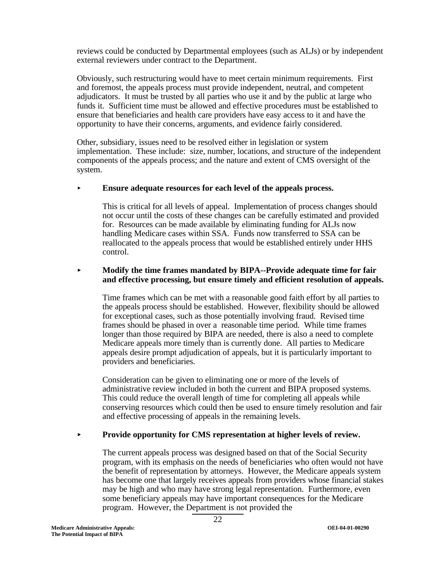reviews could be conducted by Departmental employees (such as ALJs) or by independent external reviewers under contract to the Department.

Obviously, such restructuring would have to meet certain minimum requirements. First and foremost, the appeals process must provide independent, neutral, and competent adjudicators. It must be trusted by all parties who use it and by the public at large who funds it. Sufficient time must be allowed and effective procedures must be established to ensure that beneficiaries and health care providers have easy access to it and have the opportunity to have their concerns, arguments, and evidence fairly considered.

Other, subsidiary, issues need to be resolved either in legislation or system implementation. These include: size, number, locations, and structure of the independent components of the appeals process; and the nature and extent of CMS oversight of the system.

## < **Ensure adequate resources for each level of the appeals process.**

This is critical for all levels of appeal. Implementation of process changes should not occur until the costs of these changes can be carefully estimated and provided for. Resources can be made available by eliminating funding for ALJs now handling Medicare cases within SSA. Funds now transferred to SSA can be reallocated to the appeals process that would be established entirely under HHS control.

#### $\blacktriangleright$  **Modify the time frames mandated by BIPA--Provide adequate time for fair and effective processing, but ensure timely and efficient resolution of appeals.**

Time frames which can be met with a reasonable good faith effort by all parties to the appeals process should be established. However, flexibility should be allowed for exceptional cases, such as those potentially involving fraud. Revised time frames should be phased in over a reasonable time period. While time frames longer than those required by BIPA are needed, there is also a need to complete Medicare appeals more timely than is currently done. All parties to Medicare appeals desire prompt adjudication of appeals, but it is particularly important to providers and beneficiaries.

Consideration can be given to eliminating one or more of the levels of administrative review included in both the current and BIPA proposed systems. This could reduce the overall length of time for completing all appeals while conserving resources which could then be used to ensure timely resolution and fair and effective processing of appeals in the remaining levels.

#### $\blacktriangleright$ **Provide opportunity for CMS representation at higher levels of review.**

The current appeals process was designed based on that of the Social Security program, with its emphasis on the needs of beneficiaries who often would not have the benefit of representation by attorneys. However, the Medicare appeals system has become one that largely receives appeals from providers whose financial stakes may be high and who may have strong legal representation. Furthermore, even some beneficiary appeals may have important consequences for the Medicare program. However, the Department is not provided the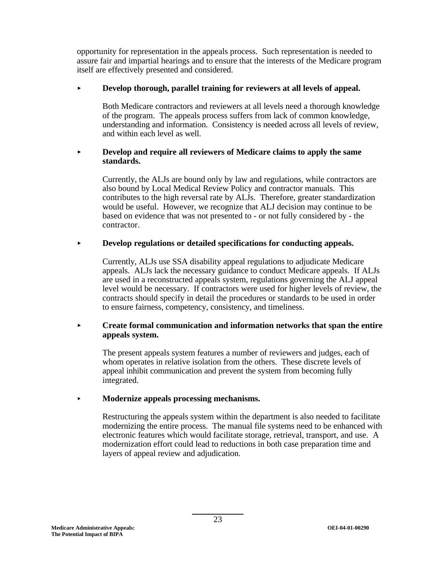opportunity for representation in the appeals process. Such representation is needed to assure fair and impartial hearings and to ensure that the interests of the Medicare program itself are effectively presented and considered.

#### $\blacktriangleright$ **Develop thorough, parallel training for reviewers at all levels of appeal.**

Both Medicare contractors and reviewers at all levels need a thorough knowledge of the program. The appeals process suffers from lack of common knowledge, understanding and information. Consistency is needed across all levels of review, and within each level as well.

#### $\blacktriangleright$  **Develop and require all reviewers of Medicare claims to apply the same standards.**

Currently, the ALJs are bound only by law and regulations, while contractors are also bound by Local Medical Review Policy and contractor manuals. This contributes to the high reversal rate by ALJs. Therefore, greater standardization would be useful. However, we recognize that ALJ decision may continue to be based on evidence that was not presented to - or not fully considered by - the contractor.

#### $\blacktriangleright$ **Develop regulations or detailed specifications for conducting appeals.**

Currently, ALJs use SSA disability appeal regulations to adjudicate Medicare appeals. ALJs lack the necessary guidance to conduct Medicare appeals. If ALJs are used in a reconstructed appeals system, regulations governing the ALJ appeal level would be necessary. If contractors were used for higher levels of review, the contracts should specify in detail the procedures or standards to be used in order to ensure fairness, competency, consistency, and timeliness.

#### $\blacktriangleright$  **Create formal communication and information networks that span the entire appeals system.**

The present appeals system features a number of reviewers and judges, each of whom operates in relative isolation from the others. These discrete levels of appeal inhibit communication and prevent the system from becoming fully integrated.

## < **Modernize appeals processing mechanisms.**

Restructuring the appeals system within the department is also needed to facilitate modernizing the entire process. The manual file systems need to be enhanced with electronic features which would facilitate storage, retrieval, transport, and use. A modernization effort could lead to reductions in both case preparation time and layers of appeal review and adjudication.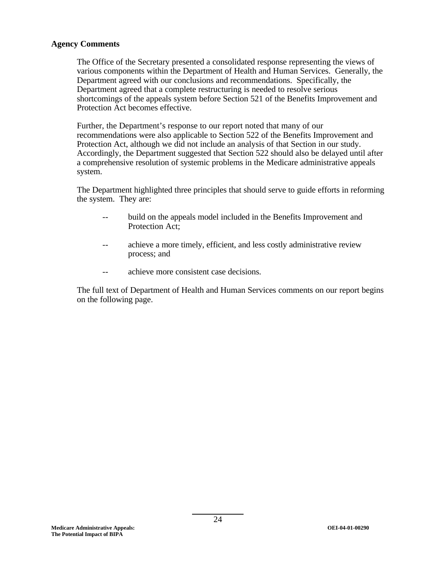### **Agency Comments**

The Office of the Secretary presented a consolidated response representing the views of various components within the Department of Health and Human Services. Generally, the Department agreed with our conclusions and recommendations. Specifically, the Department agreed that a complete restructuring is needed to resolve serious shortcomings of the appeals system before Section 521 of the Benefits Improvement and Protection Act becomes effective.

Further, the Department's response to our report noted that many of our recommendations were also applicable to Section 522 of the Benefits Improvement and Protection Act, although we did not include an analysis of that Section in our study. Accordingly, the Department suggested that Section 522 should also be delayed until after a comprehensive resolution of systemic problems in the Medicare administrative appeals system.

The Department highlighted three principles that should serve to guide efforts in reforming the system. They are:

- build on the appeals model included in the Benefits Improvement and Protection Act;
- achieve a more timely, efficient, and less costly administrative review process; and
- achieve more consistent case decisions.

The full text of Department of Health and Human Services comments on our report begins on the following page.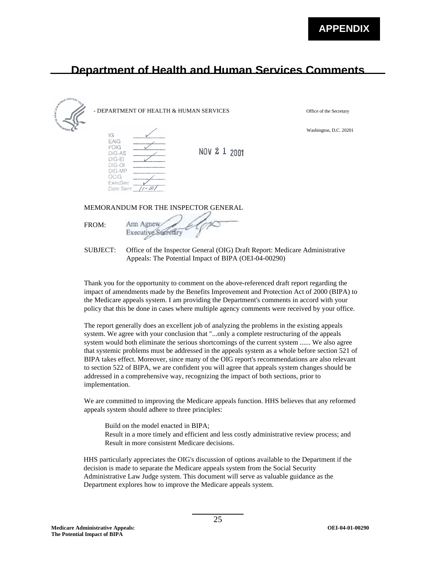Office of the Secretary

Washington, D.C. 20201

# **Department of Health and Human Services Comments**

| Sunday Stater | - DEPARTMENT OF HEALTH & HUMAN SERVICES                                                          |              |
|---------------|--------------------------------------------------------------------------------------------------|--------------|
| IG            | EAIG<br>PDIG<br>DIG-AS<br>$DIG-EI$<br>DIG-OI<br>DIG-MP<br>OCIG<br>ExecSec<br>Date Sent $17 - 82$ | NOV 2 1 2001 |
|               | MEMORANDUM FOR THE INSPECTOR GENERAL                                                             |              |
| FROM:         | Ann Agnew<br>Executive Secre                                                                     |              |

SUBJECT: Office of the Inspector General (OIG) Draft Report: Medicare Administrative Appeals: The Potential Impact of BIPA (OEI-04-00290)

Thank you for the opportunity to comment on the above-referenced draft report regarding the impact of amendments made by the Benefits Improvement and Protection Act of 2000 (BIPA) to the Medicare appeals system. I am providing the Department's comments in accord with your policy that this be done in cases where multiple agency comments were received by your office.

The report generally does an excellent job of analyzing the problems in the existing appeals system. We agree with your conclusion that "...only a complete restructuring of the appeals system would both eliminate the serious shortcomings of the current system ...... We also agree that systemic problems must be addressed in the appeals system as a whole before section 521 of BIPA takes effect. Moreover, since many of the OIG report's recommendations are also relevant to section 522 of BIPA, we are confident you will agree that appeals system changes should be addressed in a comprehensive way, recognizing the impact of both sections, prior to implementation.

We are committed to improving the Medicare appeals function. HHS believes that any reformed appeals system should adhere to three principles:

Build on the model enacted in BIPA; Result in a more timely and efficient and less costly administrative review process; and Result in more consistent Medicare decisions.

HHS particularly appreciates the OIG's discussion of options available to the Department if the decision is made to separate the Medicare appeals system from the Social Security Administrative Law Judge system. This document will serve as valuable guidance as the Department explores how to improve the Medicare appeals system.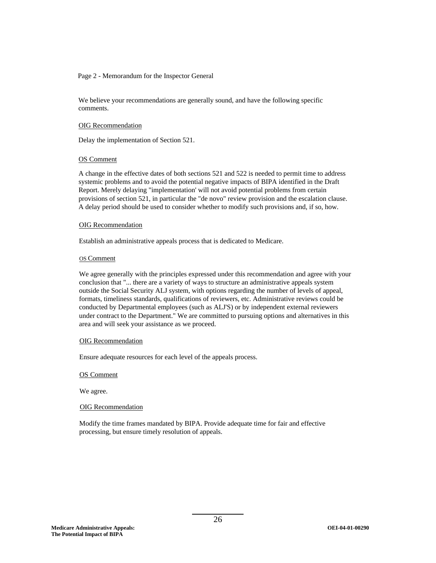#### Page 2 - Memorandum for the Inspector General

We believe your recommendations are generally sound, and have the following specific comments.

#### OIG Recommendation

Delay the implementation of Section 521.

#### OS Comment

A change in the effective dates of both sections 521 and 522 is needed to permit time to address systemic problems and to avoid the potential negative impacts of BIPA identified in the Draft Report. Merely delaying "implementation' will not avoid potential problems from certain provisions of section 521, in particular the "de novo" review provision and the escalation clause. A delay period should be used to consider whether to modify such provisions and, if so, how.

#### OIG Recommendation

Establish an administrative appeals process that is dedicated to Medicare.

#### OS Comment

We agree generally with the principles expressed under this recommendation and agree with your conclusion that "... there are a variety of ways to structure an administrative appeals system outside the Social Security ALJ system, with options regarding the number of levels of appeal, formats, timeliness standards, qualifications of reviewers, etc. Administrative reviews could be conducted by Departmental employees (such as ALJ'S) or by independent external reviewers under contract to the Department." We are committed to pursuing options and alternatives in this area and will seek your assistance as we proceed.

#### OIG Recommendation

Ensure adequate resources for each level of the appeals process.

#### OS Comment

We agree.

#### OIG Recommendation

Modify the time frames mandated by BIPA. Provide adequate time for fair and effective processing, but ensure timely resolution of appeals.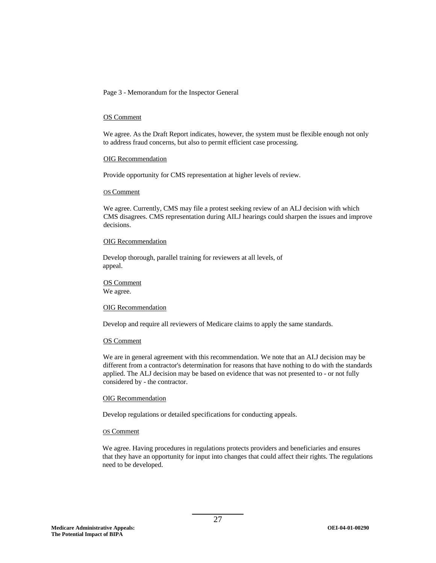Page 3 - Memorandum for the Inspector General

#### OS Comment

We agree. As the Draft Report indicates, however, the system must be flexible enough not only to address fraud concerns, but also to permit efficient case processing.

#### OIG Recommendation

Provide opportunity for CMS representation at higher levels of review.

#### OS Comment

We agree. Currently, CMS may file a protest seeking review of an ALJ decision with which CMS disagrees. CMS representation during AILJ hearings could sharpen the issues and improve decisions.

#### OIG Recommendation

Develop thorough, parallel training for reviewers at all levels, of appeal.

OS Comment We agree.

#### OIG Recommendation

Develop and require all reviewers of Medicare claims to apply the same standards.

#### OS Comment

We are in general agreement with this recommendation. We note that an AI.J decision may be different from a contractor's determination for reasons that have nothing to do with the standards applied. The ALJ decision may be based on evidence that was not presented to - or not fully considered by - the contractor.

#### OIG Recommendation

Develop regulations or detailed specifications for conducting appeals.

#### OS Comment

We agree. Having procedures in regulations protects providers and beneficiaries and ensures that they have an opportunity for input into changes that could affect their rights. The regulations need to be developed.